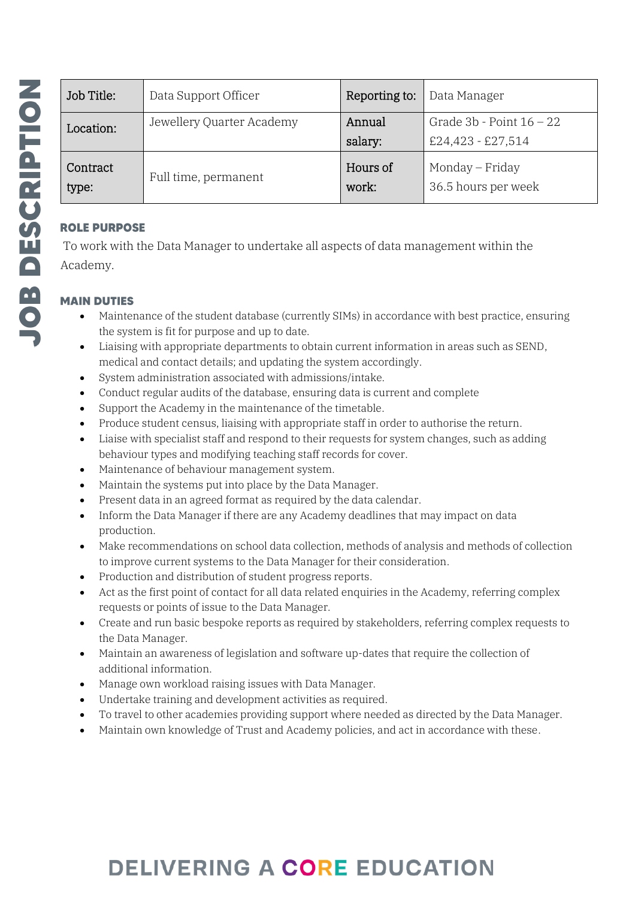| Job Title:        | Data Support Officer      | Reporting to:     | Data Manager                                      |
|-------------------|---------------------------|-------------------|---------------------------------------------------|
| Location:         | Jewellery Quarter Academy | Annual<br>salary: | Grade $3b$ - Point $16 - 22$<br>£24,423 - £27,514 |
| Contract<br>type: | Full time, permanent      | Hours of<br>work: | Monday – Friday<br>36.5 hours per week            |

### **ROLE PURPOSE**

To work with the Data Manager to undertake all aspects of data management within the Academy.

### **MAIN DUTIES**

- Maintenance of the student database (currently SIMs) in accordance with best practice, ensuring the system is fit for purpose and up to date.
- Liaising with appropriate departments to obtain current information in areas such as SEND, medical and contact details; and updating the system accordingly.
- System administration associated with admissions/intake.
- Conduct regular audits of the database, ensuring data is current and complete
- Support the Academy in the maintenance of the timetable.
- Produce student census, liaising with appropriate staff in order to authorise the return.
- Liaise with specialist staff and respond to their requests for system changes, such as adding behaviour types and modifying teaching staff records for cover.
- Maintenance of behaviour management system.
- Maintain the systems put into place by the Data Manager.
- Present data in an agreed format as required by the data calendar.
- Inform the Data Manager if there are any Academy deadlines that may impact on data production.
- Make recommendations on school data collection, methods of analysis and methods of collection to improve current systems to the Data Manager for their consideration.
- Production and distribution of student progress reports.
- Act as the first point of contact for all data related enquiries in the Academy, referring complex requests or points of issue to the Data Manager.
- Create and run basic bespoke reports as required by stakeholders, referring complex requests to the Data Manager.
- Maintain an awareness of legislation and software up-dates that require the collection of additional information.
- Manage own workload raising issues with Data Manager.
- Undertake training and development activities as required.
- To travel to other academies providing support where needed as directed by the Data Manager.
- Maintain own knowledge of Trust and Academy policies, and act in accordance with these.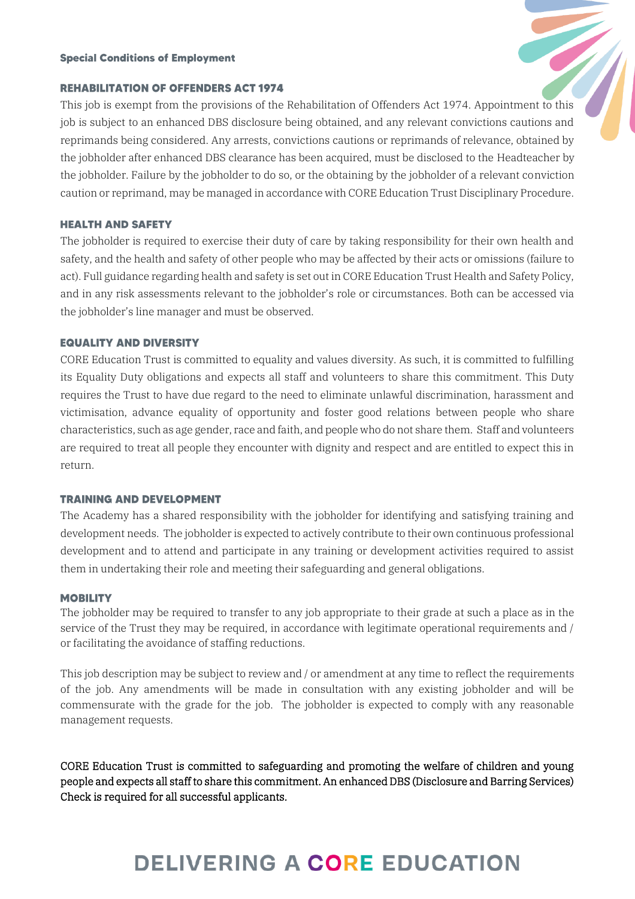#### **Special Conditions of Employment**

#### **REHABILITATION OF OFFENDERS ACT 1974**

This job is exempt from the provisions of the Rehabilitation of Offenders Act 1974. Appointment to this job is subject to an enhanced DBS disclosure being obtained, and any relevant convictions cautions and reprimands being considered. Any arrests, convictions cautions or reprimands of relevance, obtained by the jobholder after enhanced DBS clearance has been acquired, must be disclosed to the Headteacher by the jobholder. Failure by the jobholder to do so, or the obtaining by the jobholder of a relevant conviction caution or reprimand, may be managed in accordance with CORE Education Trust Disciplinary Procedure.

#### **HEALTH AND SAFETY**

The jobholder is required to exercise their duty of care by taking responsibility for their own health and safety, and the health and safety of other people who may be affected by their acts or omissions (failure to act). Full guidance regarding health and safety is set out in CORE Education Trust Health and Safety Policy, and in any risk assessments relevant to the jobholder's role or circumstances. Both can be accessed via the jobholder's line manager and must be observed.

#### **EQUALITY AND DIVERSITY**

CORE Education Trust is committed to equality and values diversity. As such, it is committed to fulfilling its Equality Duty obligations and expects all staff and volunteers to share this commitment. This Duty requires the Trust to have due regard to the need to eliminate unlawful discrimination, harassment and victimisation, advance equality of opportunity and foster good relations between people who share characteristics, such as age gender, race and faith, and people who do not share them. Staff and volunteers are required to treat all people they encounter with dignity and respect and are entitled to expect this in return.

#### **TRAINING AND DEVELOPMENT**

The Academy has a shared responsibility with the jobholder for identifying and satisfying training and development needs. The jobholder is expected to actively contribute to their own continuous professional development and to attend and participate in any training or development activities required to assist them in undertaking their role and meeting their safeguarding and general obligations.

#### **MOBILITY**

The jobholder may be required to transfer to any job appropriate to their grade at such a place as in the service of the Trust they may be required, in accordance with legitimate operational requirements and / or facilitating the avoidance of staffing reductions.

This job description may be subject to review and / or amendment at any time to reflect the requirements of the job. Any amendments will be made in consultation with any existing jobholder and will be commensurate with the grade for the job. The jobholder is expected to comply with any reasonable management requests.

CORE Education Trust is committed to safeguarding and promoting the welfare of children and young people and expects all staff to share this commitment. An enhanced DBS (Disclosure and Barring Services) Check is required for all successful applicants.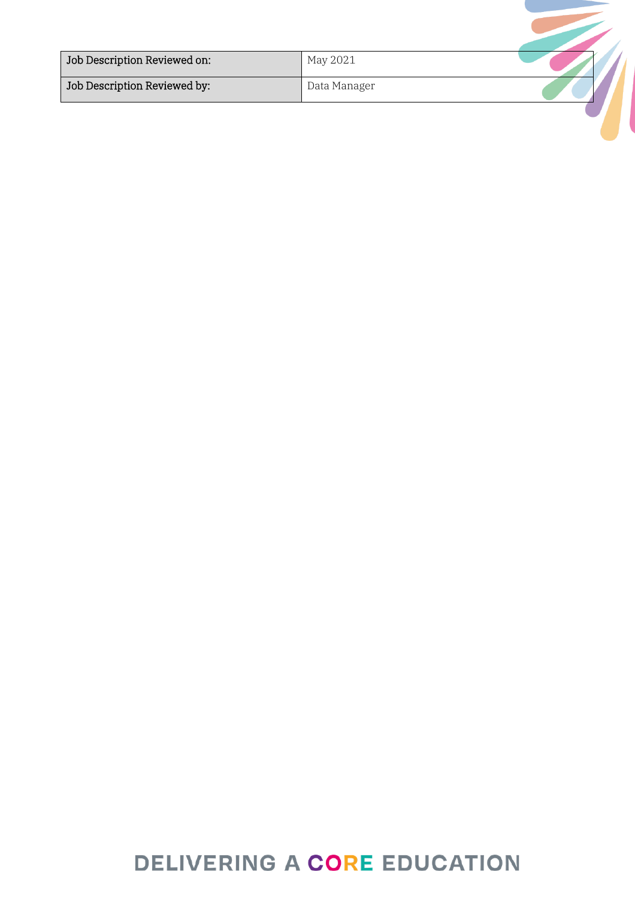| Job Description Reviewed on: | May 2021     |  |
|------------------------------|--------------|--|
| Job Description Reviewed by: | Data Manager |  |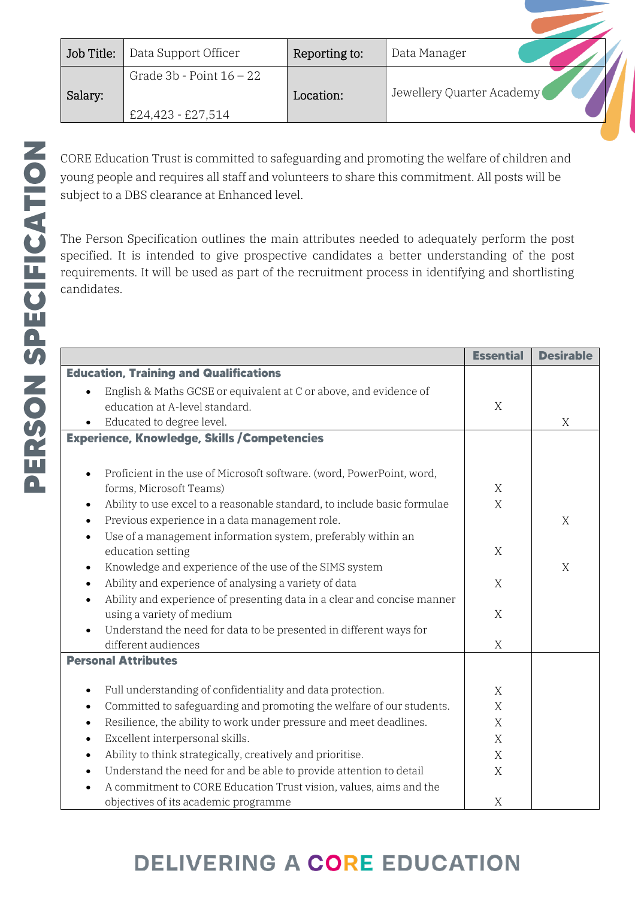| Job Title: | Data Support Officer                              | Reporting to: | Data Manager              |
|------------|---------------------------------------------------|---------------|---------------------------|
| Salary:    | Grade $3b$ - Point $16 - 22$<br>£24,423 - £27,514 | Location:     | Jewellery Quarter Academy |

CORE Education Trust is committed to safeguarding and promoting the welfare of children and young people and requires all staff and volunteers to share this commitment. All posts will be subject to a DBS clearance at Enhanced level.

The Person Specification outlines the main attributes needed to adequately perform the post specified. It is intended to give prospective candidates a better understanding of the post requirements. It will be used as part of the recruitment process in identifying and shortlisting candidates.

|                                                                                                                                                                                                                                                                                                                                                                                                                                                                                                                                                                                                                              | <b>Essential</b>                | <b>Desirable</b> |
|------------------------------------------------------------------------------------------------------------------------------------------------------------------------------------------------------------------------------------------------------------------------------------------------------------------------------------------------------------------------------------------------------------------------------------------------------------------------------------------------------------------------------------------------------------------------------------------------------------------------------|---------------------------------|------------------|
| <b>Education, Training and Qualifications</b>                                                                                                                                                                                                                                                                                                                                                                                                                                                                                                                                                                                |                                 |                  |
| English & Maths GCSE or equivalent at C or above, and evidence of<br>education at A-level standard.<br>Educated to degree level.                                                                                                                                                                                                                                                                                                                                                                                                                                                                                             | X                               | X                |
| Experience, Knowledge, Skills / Competencies                                                                                                                                                                                                                                                                                                                                                                                                                                                                                                                                                                                 |                                 |                  |
| Proficient in the use of Microsoft software. (word, PowerPoint, word,<br>forms, Microsoft Teams)<br>Ability to use excel to a reasonable standard, to include basic formulae<br>$\bullet$<br>Previous experience in a data management role.<br>$\bullet$<br>Use of a management information system, preferably within an<br>$\bullet$<br>education setting<br>Knowledge and experience of the use of the SIMS system<br>$\bullet$<br>Ability and experience of analysing a variety of data<br>$\bullet$<br>Ability and experience of presenting data in a clear and concise manner<br>$\bullet$<br>using a variety of medium | X<br>X<br>X<br>X<br>X           | X<br>X           |
| Understand the need for data to be presented in different ways for<br>different audiences                                                                                                                                                                                                                                                                                                                                                                                                                                                                                                                                    | X                               |                  |
| <b>Personal Attributes</b>                                                                                                                                                                                                                                                                                                                                                                                                                                                                                                                                                                                                   |                                 |                  |
| Full understanding of confidentiality and data protection.<br>$\bullet$<br>Committed to safeguarding and promoting the welfare of our students.<br>$\bullet$<br>Resilience, the ability to work under pressure and meet deadlines.<br>$\bullet$<br>Excellent interpersonal skills.<br>$\bullet$<br>Ability to think strategically, creatively and prioritise.<br>$\bullet$<br>Understand the need for and be able to provide attention to detail<br>$\bullet$<br>A commitment to CORE Education Trust vision, values, aims and the<br>$\bullet$<br>objectives of its academic programme                                      | X<br>X<br>X<br>X<br>X<br>X<br>X |                  |